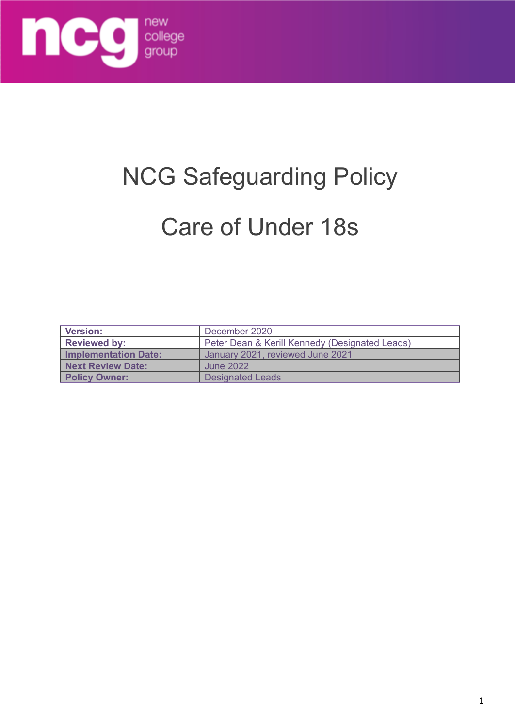

# NCG Safeguarding Policy

# Care of Under 18s

| <b>Version:</b>      | December 2020                                  |
|----------------------|------------------------------------------------|
| <b>Reviewed by:</b>  | Peter Dean & Kerill Kennedy (Designated Leads) |
| Implementation Date: | January 2021, reviewed June 2021               |
| Next Review Date:    | June 2022                                      |
| <b>Policy Owner:</b> | <b>Designated Leads</b>                        |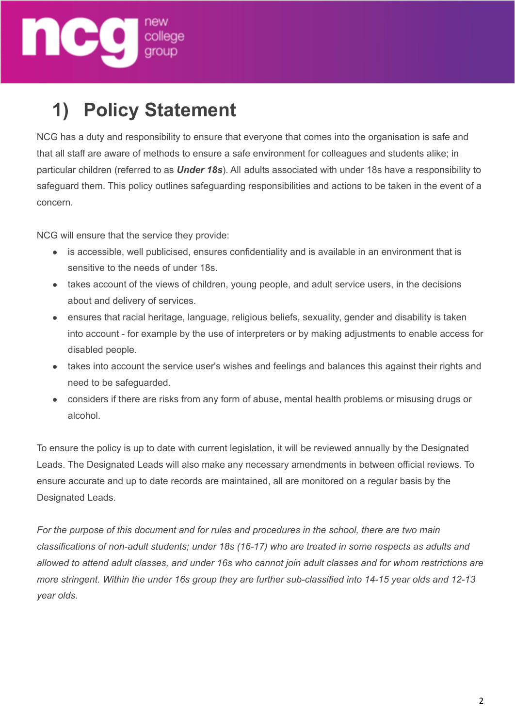

# **1) Policy Statement**

NCG has a duty and responsibility to ensure that everyone that comes into the organisation is safe and that all staff are aware of methods to ensure a safe environment for colleagues and students alike; in particular children (referred to as *Under 18s*). All adults associated with under 18s have a responsibility to safeguard them. This policy outlines safeguarding responsibilities and actions to be taken in the event of a concern.

NCG will ensure that the service they provide:

- is accessible, well publicised, ensures confidentiality and is available in an environment that is sensitive to the needs of under 18s.
- takes account of the views of children, young people, and adult service users, in the decisions about and delivery of services.
- ensures that racial heritage, language, religious beliefs, sexuality, gender and disability is taken into account - for example by the use of interpreters or by making adjustments to enable access for disabled people.
- takes into account the service user's wishes and feelings and balances this against their rights and need to be safeguarded.
- considers if there are risks from any form of abuse, mental health problems or misusing drugs or alcohol.

To ensure the policy is up to date with current legislation, it will be reviewed annually by the Designated Leads. The Designated Leads will also make any necessary amendments in between official reviews. To ensure accurate and up to date records are maintained, all are monitored on a regular basis by the Designated Leads.

*For the purpose of this document and for rules and procedures in the school, there are two main classifications of non-adult students; under 18s (16-17) who are treated in some respects as adults and* allowed to attend adult classes, and under 16s who cannot join adult classes and for whom restrictions are *more stringent. Within the under 16s group they are further sub-classified into 14-15 year olds and 12-13 year olds.*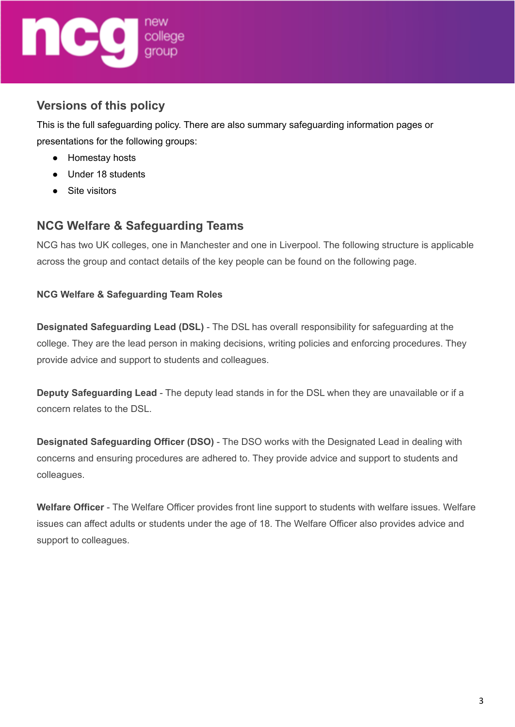

# **Versions of this policy**

This is the full safeguarding policy. There are also summary safeguarding information pages or presentations for the following groups:

- Homestay hosts
- Under 18 students
- Site visitors

# **NCG Welfare & Safeguarding Teams**

NCG has two UK colleges, one in Manchester and one in Liverpool. The following structure is applicable across the group and contact details of the key people can be found on the following page.

# **NCG Welfare & Safeguarding Team Roles**

**Designated Safeguarding Lead (DSL)** - The DSL has overall responsibility for safeguarding at the college. They are the lead person in making decisions, writing policies and enforcing procedures. They provide advice and support to students and colleagues.

**Deputy Safeguarding Lead** - The deputy lead stands in for the DSL when they are unavailable or if a concern relates to the DSL.

**Designated Safeguarding Officer (DSO)** - The DSO works with the Designated Lead in dealing with concerns and ensuring procedures are adhered to. They provide advice and support to students and colleagues.

**Welfare Officer** - The Welfare Officer provides front line support to students with welfare issues. Welfare issues can affect adults or students under the age of 18. The Welfare Officer also provides advice and support to colleagues.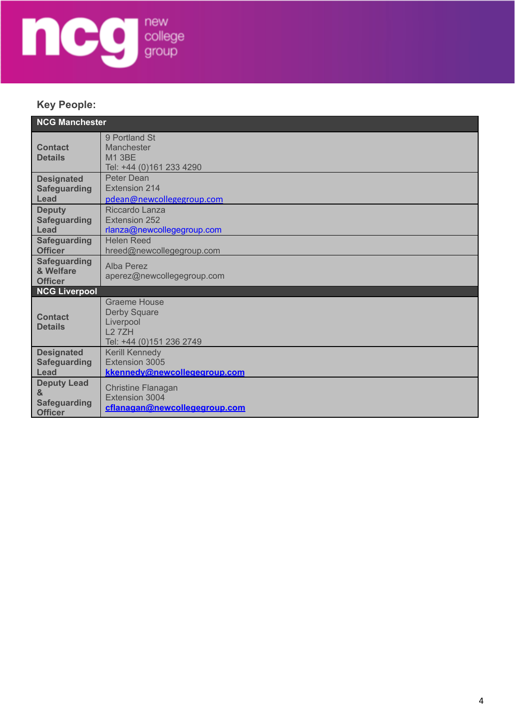

# **Key People:**

| <b>NCG Manchester</b>                                            |                                                                                              |  |
|------------------------------------------------------------------|----------------------------------------------------------------------------------------------|--|
| <b>Contact</b><br><b>Details</b>                                 | 9 Portland St<br>Manchester<br><b>M1 3BE</b><br>Tel: +44 (0)161 233 4290                     |  |
| <b>Designated</b><br><b>Safeguarding</b><br>Lead                 | Peter Dean<br><b>Extension 214</b><br>pdean@newcollegegroup.com                              |  |
| <b>Deputy</b><br><b>Safeguarding</b><br>Lead                     | Riccardo Lanza<br><b>Extension 252</b><br>rlanza@newcollegegroup.com                         |  |
| <b>Safeguarding</b><br><b>Officer</b>                            | <b>Helen Reed</b><br>hreed@newcollegegroup.com                                               |  |
| <b>Safeguarding</b><br>& Welfare<br><b>Officer</b>               | Alba Perez<br>aperez@newcollegegroup.com                                                     |  |
| <b>NCG Liverpool</b>                                             |                                                                                              |  |
| <b>Contact</b><br><b>Details</b>                                 | Graeme House<br><b>Derby Square</b><br>Liverpool<br><b>L27ZH</b><br>Tel: +44 (0)151 236 2749 |  |
| <b>Designated</b><br><b>Safeguarding</b><br>Lead                 | Kerill Kennedy<br>Extension 3005<br>kkennedv@newcollegegroup.com                             |  |
| <b>Deputy Lead</b><br>&<br><b>Safeguarding</b><br><b>Officer</b> | <b>Christine Flanagan</b><br>Extension 3004<br>cflanagan@newcollegegroup.com                 |  |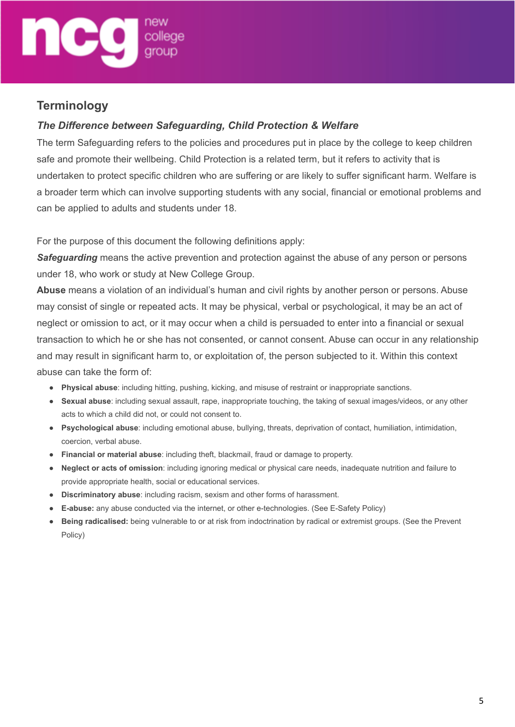

# **Terminology**

# *The Difference between Safeguarding, Child Protection & Welfare*

The term Safeguarding refers to the policies and procedures put in place by the college to keep children safe and promote their wellbeing. Child Protection is a related term, but it refers to activity that is undertaken to protect specific children who are suffering or are likely to suffer significant harm. Welfare is a broader term which can involve supporting students with any social, financial or emotional problems and can be applied to adults and students under 18.

For the purpose of this document the following definitions apply:

*Safeguarding* means the active prevention and protection against the abuse of any person or persons under 18, who work or study at New College Group.

**Abuse** means a violation of an individual's human and civil rights by another person or persons. Abuse may consist of single or repeated acts. It may be physical, verbal or psychological, it may be an act of neglect or omission to act, or it may occur when a child is persuaded to enter into a financial or sexual transaction to which he or she has not consented, or cannot consent. Abuse can occur in any relationship and may result in significant harm to, or exploitation of, the person subjected to it. Within this context abuse can take the form of:

- **Physical abuse**: including hitting, pushing, kicking, and misuse of restraint or inappropriate sanctions.
- **Sexual abuse**: including sexual assault, rape, inappropriate touching, the taking of sexual images/videos, or any other acts to which a child did not, or could not consent to.
- **Psychological abuse**: including emotional abuse, bullying, threats, deprivation of contact, humiliation, intimidation, coercion, verbal abuse.
- **Financial or material abuse**: including theft, blackmail, fraud or damage to property.
- **Neglect or acts of omission**: including ignoring medical or physical care needs, inadequate nutrition and failure to provide appropriate health, social or educational services.
- **Discriminatory abuse**: including racism, sexism and other forms of harassment.
- **E-abuse:** any abuse conducted via the internet, or other e-technologies. (See E-Safety Policy)
- **Being radicalised:** being vulnerable to or at risk from indoctrination by radical or extremist groups. (See the Prevent Policy)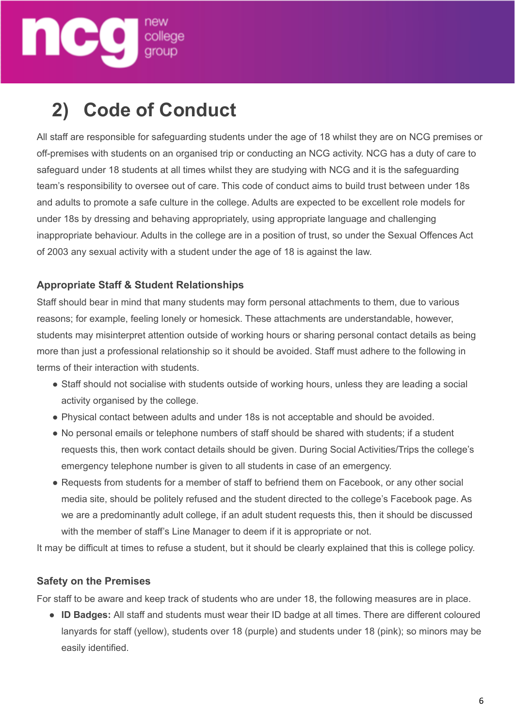

# **2) Code of Conduct**

All staff are responsible for safeguarding students under the age of 18 whilst they are on NCG premises or off-premises with students on an organised trip or conducting an NCG activity. NCG has a duty of care to safeguard under 18 students at all times whilst they are studying with NCG and it is the safeguarding team's responsibility to oversee out of care. This code of conduct aims to build trust between under 18s and adults to promote a safe culture in the college. Adults are expected to be excellent role models for under 18s by dressing and behaving appropriately, using appropriate language and challenging inappropriate behaviour. Adults in the college are in a position of trust, so under the Sexual Offences Act of 2003 any sexual activity with a student under the age of 18 is against the law.

# **Appropriate Staff & Student Relationships**

Staff should bear in mind that many students may form personal attachments to them, due to various reasons; for example, feeling lonely or homesick. These attachments are understandable, however, students may misinterpret attention outside of working hours or sharing personal contact details as being more than just a professional relationship so it should be avoided. Staff must adhere to the following in terms of their interaction with students.

- Staff should not socialise with students outside of working hours, unless they are leading a social activity organised by the college.
- Physical contact between adults and under 18s is not acceptable and should be avoided.
- No personal emails or telephone numbers of staff should be shared with students; if a student requests this, then work contact details should be given. During Social Activities/Trips the college's emergency telephone number is given to all students in case of an emergency.
- Requests from students for a member of staff to befriend them on Facebook, or any other social media site, should be politely refused and the student directed to the college's Facebook page. As we are a predominantly adult college, if an adult student requests this, then it should be discussed with the member of staff's Line Manager to deem if it is appropriate or not.

It may be difficult at times to refuse a student, but it should be clearly explained that this is college policy.

## **Safety on the Premises**

For staff to be aware and keep track of students who are under 18, the following measures are in place.

● **ID Badges:** All staff and students must wear their ID badge at all times. There are different coloured lanyards for staff (yellow), students over 18 (purple) and students under 18 (pink); so minors may be easily identified.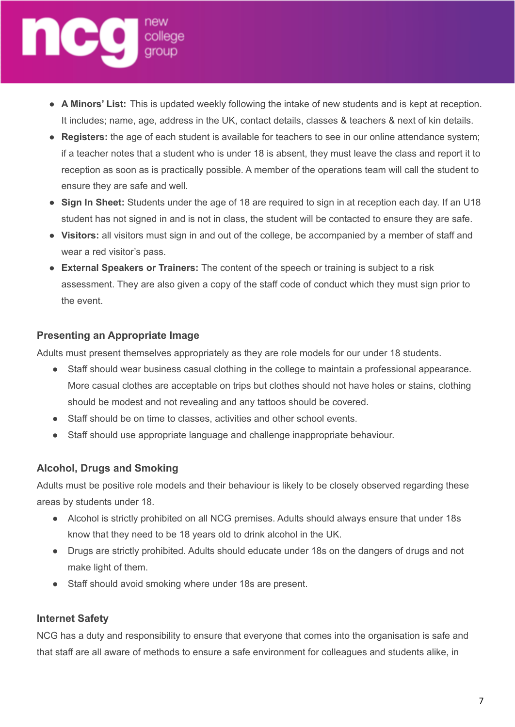

- **A Minors' List:** This is updated weekly following the intake of new students and is kept at reception. It includes; name, age, address in the UK, contact details, classes & teachers & next of kin details.
- **Registers:** the age of each student is available for teachers to see in our online attendance system; if a teacher notes that a student who is under 18 is absent, they must leave the class and report it to reception as soon as is practically possible. A member of the operations team will call the student to ensure they are safe and well.
- **Sign In Sheet:** Students under the age of 18 are required to sign in at reception each day. If an U18 student has not signed in and is not in class, the student will be contacted to ensure they are safe.
- **Visitors:** all visitors must sign in and out of the college, be accompanied by a member of staff and wear a red visitor's pass.
- **External Speakers or Trainers:** The content of the speech or training is subject to a risk assessment. They are also given a copy of the staff code of conduct which they must sign prior to the event.

## **Presenting an Appropriate Image**

Adults must present themselves appropriately as they are role models for our under 18 students.

- Staff should wear business casual clothing in the college to maintain a professional appearance. More casual clothes are acceptable on trips but clothes should not have holes or stains, clothing should be modest and not revealing and any tattoos should be covered.
- Staff should be on time to classes, activities and other school events.
- Staff should use appropriate language and challenge inappropriate behaviour.

## **Alcohol, Drugs and Smoking**

Adults must be positive role models and their behaviour is likely to be closely observed regarding these areas by students under 18.

- Alcohol is strictly prohibited on all NCG premises. Adults should always ensure that under 18s know that they need to be 18 years old to drink alcohol in the UK.
- Drugs are strictly prohibited. Adults should educate under 18s on the dangers of drugs and not make light of them.
- Staff should avoid smoking where under 18s are present.

## **Internet Safety**

NCG has a duty and responsibility to ensure that everyone that comes into the organisation is safe and that staff are all aware of methods to ensure a safe environment for colleagues and students alike, in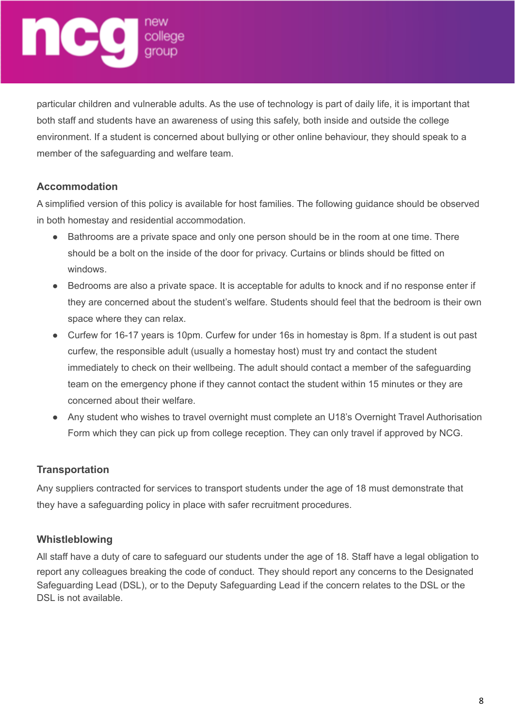# new<br>college<br>group

particular children and vulnerable adults. As the use of technology is part of daily life, it is important that both staff and students have an awareness of using this safely, both inside and outside the college environment. If a student is concerned about bullying or other online behaviour, they should speak to a member of the safeguarding and welfare team.

# **Accommodation**

A simplified version of this policy is available for host families. The following guidance should be observed in both homestay and residential accommodation.

- Bathrooms are a private space and only one person should be in the room at one time. There should be a bolt on the inside of the door for privacy. Curtains or blinds should be fitted on windows.
- Bedrooms are also a private space. It is acceptable for adults to knock and if no response enter if they are concerned about the student's welfare. Students should feel that the bedroom is their own space where they can relax.
- Curfew for 16-17 years is 10pm. Curfew for under 16s in homestay is 8pm. If a student is out past curfew, the responsible adult (usually a homestay host) must try and contact the student immediately to check on their wellbeing. The adult should contact a member of the safeguarding team on the emergency phone if they cannot contact the student within 15 minutes or they are concerned about their welfare.
- Any student who wishes to travel overnight must complete an U18's Overnight Travel Authorisation Form which they can pick up from college reception. They can only travel if approved by NCG.

# **Transportation**

Any suppliers contracted for services to transport students under the age of 18 must demonstrate that they have a safeguarding policy in place with safer recruitment procedures.

# **Whistleblowing**

All staff have a duty of care to safeguard our students under the age of 18. Staff have a legal obligation to report any colleagues breaking the code of conduct. They should report any concerns to the Designated Safeguarding Lead (DSL), or to the Deputy Safeguarding Lead if the concern relates to the DSL or the DSL is not available.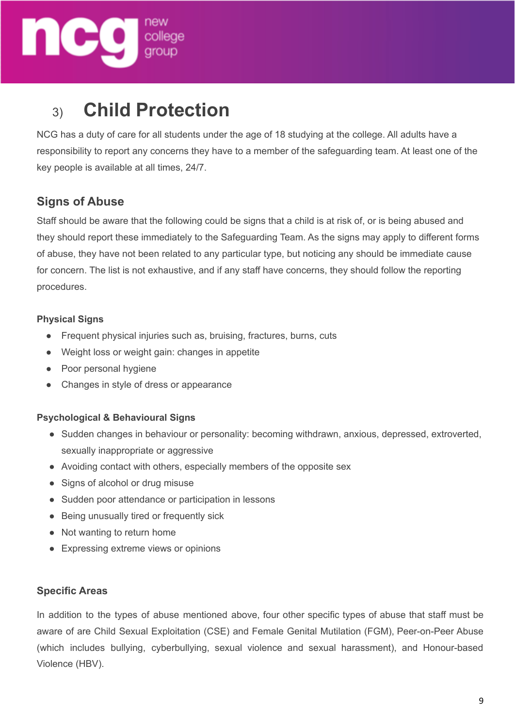

# 3) **Child Protection**

NCG has a duty of care for all students under the age of 18 studying at the college. All adults have a responsibility to report any concerns they have to a member of the safeguarding team. At least one of the key people is available at all times, 24/7.

# **Signs of Abuse**

Staff should be aware that the following could be signs that a child is at risk of, or is being abused and they should report these immediately to the Safeguarding Team. As the signs may apply to different forms of abuse, they have not been related to any particular type, but noticing any should be immediate cause for concern. The list is not exhaustive, and if any staff have concerns, they should follow the reporting procedures.

#### **Physical Signs**

- Frequent physical injuries such as, bruising, fractures, burns, cuts
- Weight loss or weight gain: changes in appetite
- Poor personal hygiene
- Changes in style of dress or appearance

## **Psychological & Behavioural Signs**

- Sudden changes in behaviour or personality: becoming withdrawn, anxious, depressed, extroverted, sexually inappropriate or aggressive
- Avoiding contact with others, especially members of the opposite sex
- Signs of alcohol or drug misuse
- Sudden poor attendance or participation in lessons
- Being unusually tired or frequently sick
- Not wanting to return home
- Expressing extreme views or opinions

## **Specific Areas**

In addition to the types of abuse mentioned above, four other specific types of abuse that staff must be aware of are Child Sexual Exploitation (CSE) and Female Genital Mutilation (FGM), Peer-on-Peer Abuse (which includes bullying, cyberbullying, sexual violence and sexual harassment), and Honour-based Violence (HBV).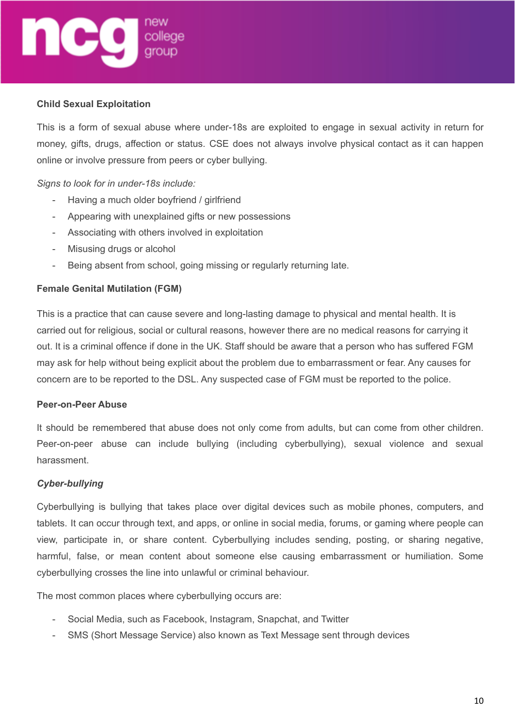# new<br>college<br>aroup

#### **Child Sexual Exploitation**

This is a form of sexual abuse where under-18s are exploited to engage in sexual activity in return for money, gifts, drugs, affection or status. CSE does not always involve physical contact as it can happen online or involve pressure from peers or cyber bullying.

#### *Signs to look for in under-18s include:*

- Having a much older boyfriend / girlfriend
- Appearing with unexplained gifts or new possessions
- Associating with others involved in exploitation
- Misusing drugs or alcohol
- Being absent from school, going missing or regularly returning late.

#### **Female Genital Mutilation (FGM)**

This is a practice that can cause severe and long-lasting damage to physical and mental health. It is carried out for religious, social or cultural reasons, however there are no medical reasons for carrying it out. It is a criminal offence if done in the UK. Staff should be aware that a person who has suffered FGM may ask for help without being explicit about the problem due to embarrassment or fear. Any causes for concern are to be reported to the DSL. Any suspected case of FGM must be reported to the police.

#### **Peer-on-Peer Abuse**

It should be remembered that abuse does not only come from adults, but can come from other children. Peer-on-peer abuse can include bullying (including cyberbullying), sexual violence and sexual harassment.

#### *Cyber-bullying*

Cyberbullying is bullying that takes place over digital devices such as mobile phones, computers, and tablets. It can occur through text, and apps, or online in social media, forums, or gaming where people can view, participate in, or share content. Cyberbullying includes sending, posting, or sharing negative, harmful, false, or mean content about someone else causing embarrassment or humiliation. Some cyberbullying crosses the line into unlawful or criminal behaviour.

The most common places where cyberbullying occurs are:

- Social Media, such as Facebook, Instagram, Snapchat, and Twitter
- SMS (Short Message Service) also known as Text Message sent through devices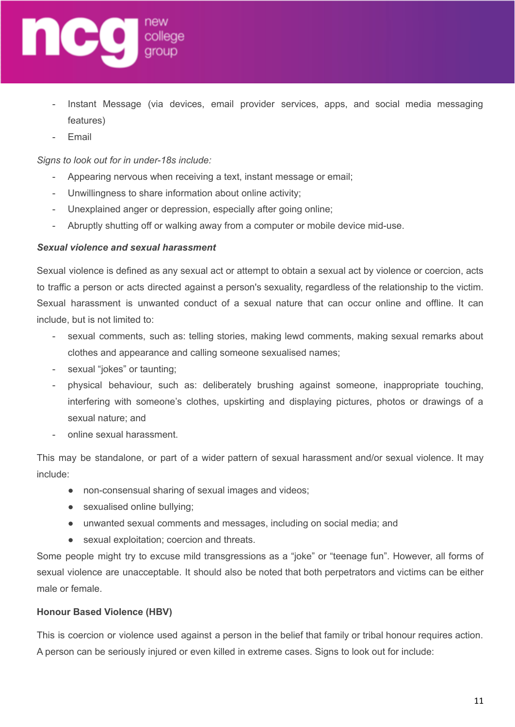

- Instant Message (via devices, email provider services, apps, and social media messaging features)
- **Email**

*Signs to look out for in under-18s include:*

- Appearing nervous when receiving a text, instant message or email;
- Unwillingness to share information about online activity;
- Unexplained anger or depression, especially after going online;
- Abruptly shutting off or walking away from a computer or mobile device mid-use.

#### *Sexual violence and sexual harassment*

Sexual violence is defined as any sexual act or attempt to obtain a sexual act by violence or coercion, acts to traffic a person or acts directed against a person's sexuality, regardless of the relationship to the victim. Sexual harassment is unwanted conduct of a sexual nature that can occur online and offline. It can include, but is not limited to:

- sexual comments, such as: telling stories, making lewd comments, making sexual remarks about clothes and appearance and calling someone sexualised names;
- sexual "jokes" or taunting;
- physical behaviour, such as: deliberately brushing against someone, inappropriate touching, interfering with someone's clothes, upskirting and displaying pictures, photos or drawings of a sexual nature; and
- online sexual harassment.

This may be standalone, or part of a wider pattern of sexual harassment and/or sexual violence. It may include:

- non-consensual sharing of sexual images and videos;
- sexualised online bullying;
- unwanted sexual comments and messages, including on social media; and
- sexual exploitation; coercion and threats.

Some people might try to excuse mild transgressions as a "joke" or "teenage fun". However, all forms of sexual violence are unacceptable. It should also be noted that both perpetrators and victims can be either male or female.

#### **Honour Based Violence (HBV)**

This is coercion or violence used against a person in the belief that family or tribal honour requires action. A person can be seriously injured or even killed in extreme cases. Signs to look out for include: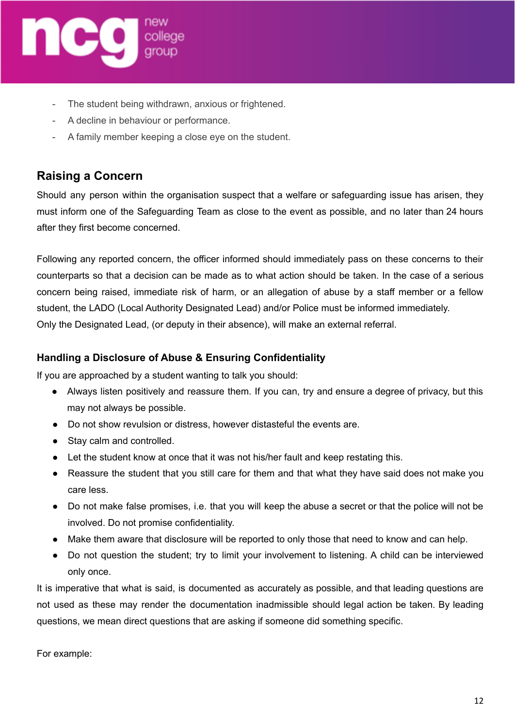

- The student being withdrawn, anxious or frightened.
- A decline in behaviour or performance.
- A family member keeping a close eye on the student.

# **Raising a Concern**

Should any person within the organisation suspect that a welfare or safeguarding issue has arisen, they must inform one of the Safeguarding Team as close to the event as possible, and no later than 24 hours after they first become concerned.

Following any reported concern, the officer informed should immediately pass on these concerns to their counterparts so that a decision can be made as to what action should be taken. In the case of a serious concern being raised, immediate risk of harm, or an allegation of abuse by a staff member or a fellow student, the LADO (Local Authority Designated Lead) and/or Police must be informed immediately. Only the Designated Lead, (or deputy in their absence), will make an external referral.

#### **Handling a Disclosure of Abuse & Ensuring Confidentiality**

If you are approached by a student wanting to talk you should:

- Always listen positively and reassure them. If you can, try and ensure a degree of privacy, but this may not always be possible.
- Do not show revulsion or distress, however distasteful the events are.
- Stay calm and controlled.
- Let the student know at once that it was not his/her fault and keep restating this.
- Reassure the student that you still care for them and that what they have said does not make you care less.
- Do not make false promises, i.e. that you will keep the abuse a secret or that the police will not be involved. Do not promise confidentiality.
- Make them aware that disclosure will be reported to only those that need to know and can help.
- Do not question the student; try to limit your involvement to listening. A child can be interviewed only once.

It is imperative that what is said, is documented as accurately as possible, and that leading questions are not used as these may render the documentation inadmissible should legal action be taken. By leading questions, we mean direct questions that are asking if someone did something specific.

For example: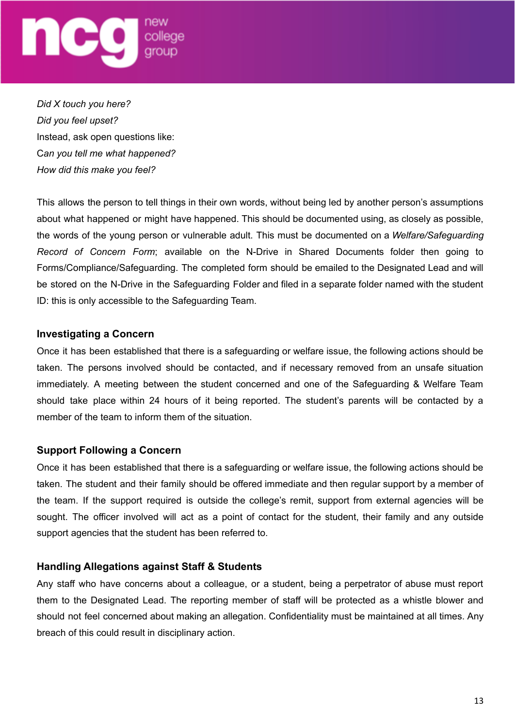

*Did X touch you here? Did you feel upset?* Instead, ask open questions like: C*an you tell me what happened? How did this make you feel?*

This allows the person to tell things in their own words, without being led by another person's assumptions about what happened or might have happened. This should be documented using, as closely as possible, the words of the young person or vulnerable adult. This must be documented on a *Welfare/Safeguarding Record of Concern Form*; available on the N-Drive in Shared Documents folder then going to Forms/Compliance/Safeguarding. The completed form should be emailed to the Designated Lead and will be stored on the N-Drive in the Safeguarding Folder and filed in a separate folder named with the student ID: this is only accessible to the Safeguarding Team.

#### **Investigating a Concern**

Once it has been established that there is a safeguarding or welfare issue, the following actions should be taken. The persons involved should be contacted, and if necessary removed from an unsafe situation immediately. A meeting between the student concerned and one of the Safeguarding & Welfare Team should take place within 24 hours of it being reported. The student's parents will be contacted by a member of the team to inform them of the situation.

#### **Support Following a Concern**

Once it has been established that there is a safeguarding or welfare issue, the following actions should be taken. The student and their family should be offered immediate and then regular support by a member of the team. If the support required is outside the college's remit, support from external agencies will be sought. The officer involved will act as a point of contact for the student, their family and any outside support agencies that the student has been referred to.

#### **Handling Allegations against Staff & Students**

Any staff who have concerns about a colleague, or a student, being a perpetrator of abuse must report them to the Designated Lead. The reporting member of staff will be protected as a whistle blower and should not feel concerned about making an allegation. Confidentiality must be maintained at all times. Any breach of this could result in disciplinary action.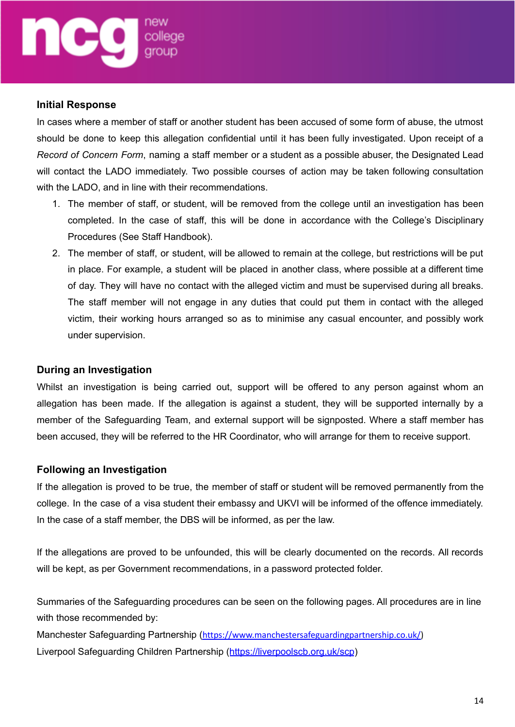#### **Initial Response**

In cases where a member of staff or another student has been accused of some form of abuse, the utmost should be done to keep this allegation confidential until it has been fully investigated. Upon receipt of a *Record of Concern Form*, naming a staff member or a student as a possible abuser, the Designated Lead will contact the LADO immediately. Two possible courses of action may be taken following consultation with the LADO, and in line with their recommendations.

- 1. The member of staff, or student, will be removed from the college until an investigation has been completed. In the case of staff, this will be done in accordance with the College's Disciplinary Procedures (See Staff Handbook).
- 2. The member of staff, or student, will be allowed to remain at the college, but restrictions will be put in place. For example, a student will be placed in another class, where possible at a different time of day. They will have no contact with the alleged victim and must be supervised during all breaks. The staff member will not engage in any duties that could put them in contact with the alleged victim, their working hours arranged so as to minimise any casual encounter, and possibly work under supervision.

#### **During an Investigation**

Whilst an investigation is being carried out, support will be offered to any person against whom an allegation has been made. If the allegation is against a student, they will be supported internally by a member of the Safeguarding Team, and external support will be signposted. Where a staff member has been accused, they will be referred to the HR Coordinator, who will arrange for them to receive support.

#### **Following an Investigation**

If the allegation is proved to be true, the member of staff or student will be removed permanently from the college. In the case of a visa student their embassy and UKVI will be informed of the offence immediately. In the case of a staff member, the DBS will be informed, as per the law.

If the allegations are proved to be unfounded, this will be clearly documented on the records. All records will be kept, as per Government recommendations, in a password protected folder.

Summaries of the Safeguarding procedures can be seen on the following pages. All procedures are in line with those recommended by:

Manchester Safeguarding Partnership ([https://www.manchestersafeguardingpartnership.co.uk/\)](https://www.manchestersafeguardingpartnership.co.uk/) Liverpool Safeguarding Children Partnership (<https://liverpoolscb.org.uk/scp>)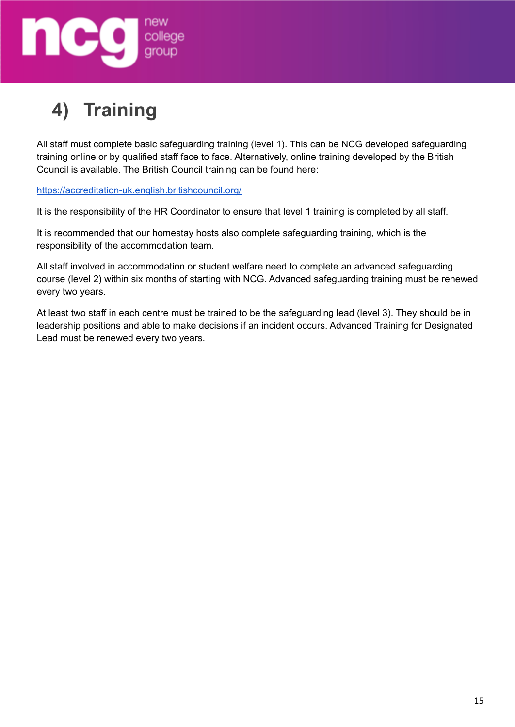

# **4) Training**

All staff must complete basic safeguarding training (level 1). This can be NCG developed safeguarding training online or by qualified staff face to face. Alternatively, online training developed by the British Council is available. The British Council training can be found here:

<https://accreditation-uk.english.britishcouncil.org/>

It is the responsibility of the HR Coordinator to ensure that level 1 training is completed by all staff.

It is recommended that our homestay hosts also complete safeguarding training, which is the responsibility of the accommodation team.

All staff involved in accommodation or student welfare need to complete an advanced safeguarding course (level 2) within six months of starting with NCG. Advanced safeguarding training must be renewed every two years.

At least two staff in each centre must be trained to be the safeguarding lead (level 3). They should be in leadership positions and able to make decisions if an incident occurs. Advanced Training for Designated Lead must be renewed every two years.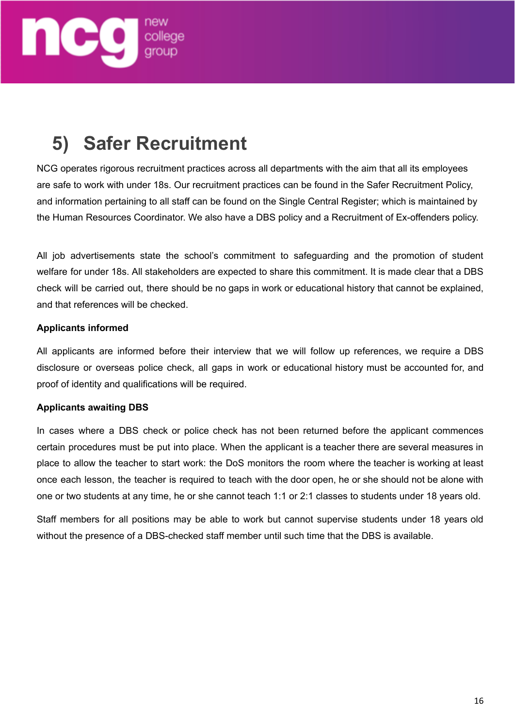

# **5) Safer Recruitment**

NCG operates rigorous recruitment practices across all departments with the aim that all its employees are safe to work with under 18s. Our recruitment practices can be found in the Safer Recruitment Policy, and information pertaining to all staff can be found on the Single Central Register; which is maintained by the Human Resources Coordinator. We also have a DBS policy and a Recruitment of Ex-offenders policy.

All job advertisements state the school's commitment to safeguarding and the promotion of student welfare for under 18s. All stakeholders are expected to share this commitment. It is made clear that a DBS check will be carried out, there should be no gaps in work or educational history that cannot be explained, and that references will be checked.

#### **Applicants informed**

All applicants are informed before their interview that we will follow up references, we require a DBS disclosure or overseas police check, all gaps in work or educational history must be accounted for, and proof of identity and qualifications will be required.

#### **Applicants awaiting DBS**

In cases where a DBS check or police check has not been returned before the applicant commences certain procedures must be put into place. When the applicant is a teacher there are several measures in place to allow the teacher to start work: the DoS monitors the room where the teacher is working at least once each lesson, the teacher is required to teach with the door open, he or she should not be alone with one or two students at any time, he or she cannot teach 1:1 or 2:1 classes to students under 18 years old.

Staff members for all positions may be able to work but cannot supervise students under 18 years old without the presence of a DBS-checked staff member until such time that the DBS is available.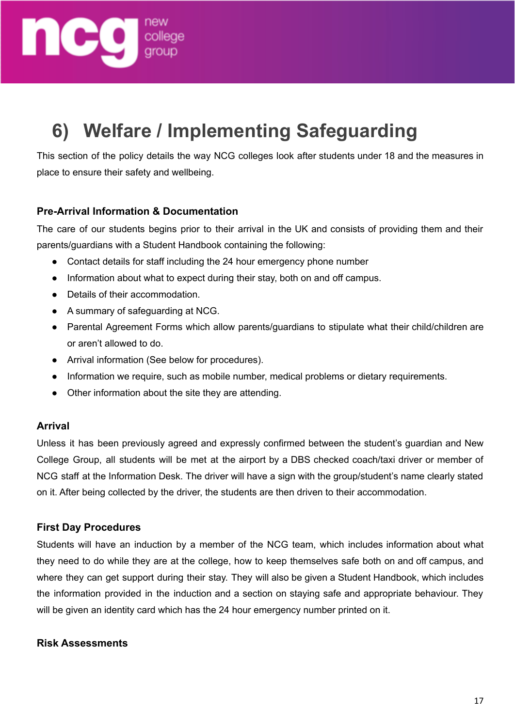

# **6) Welfare / Implementing Safeguarding**

This section of the policy details the way NCG colleges look after students under 18 and the measures in place to ensure their safety and wellbeing.

## **Pre-Arrival Information & Documentation**

The care of our students begins prior to their arrival in the UK and consists of providing them and their parents/guardians with a Student Handbook containing the following:

- Contact details for staff including the 24 hour emergency phone number
- Information about what to expect during their stay, both on and off campus.
- Details of their accommodation.
- A summary of safeguarding at NCG.
- Parental Agreement Forms which allow parents/guardians to stipulate what their child/children are or aren't allowed to do.
- Arrival information (See below for procedures).
- Information we require, such as mobile number, medical problems or dietary requirements.
- Other information about the site they are attending.

#### **Arrival**

Unless it has been previously agreed and expressly confirmed between the student's guardian and New College Group, all students will be met at the airport by a DBS checked coach/taxi driver or member of NCG staff at the Information Desk. The driver will have a sign with the group/student's name clearly stated on it. After being collected by the driver, the students are then driven to their accommodation.

#### **First Day Procedures**

Students will have an induction by a member of the NCG team, which includes information about what they need to do while they are at the college, how to keep themselves safe both on and off campus, and where they can get support during their stay. They will also be given a Student Handbook, which includes the information provided in the induction and a section on staying safe and appropriate behaviour. They will be given an identity card which has the 24 hour emergency number printed on it.

#### **Risk Assessments**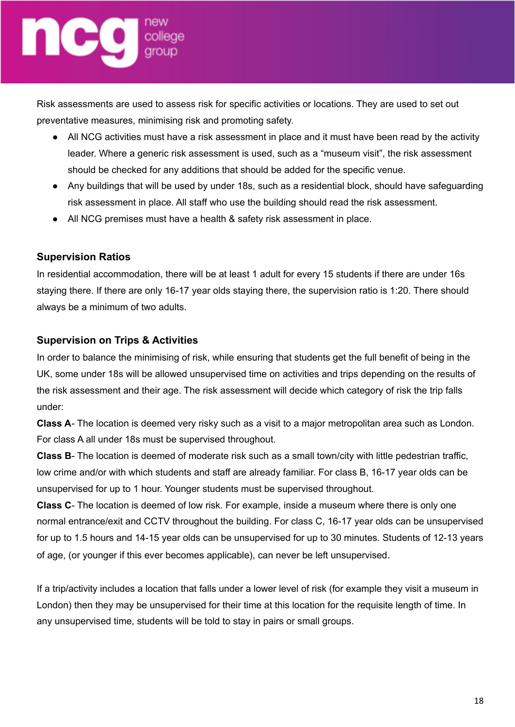# $\blacksquare$ college

Risk assessments are used to assess risk for specific activities or locations. They are used to set out preventative measures, minimising risk and promoting safety.

- All NCG activities must have a risk assessment in place and it must have been read by the activity leader. Where a generic risk assessment is used, such as a "museum visit", the risk assessment should be checked for any additions that should be added for the specific venue.
- Any buildings that will be used by under 18s, such as a residential block, should have safeguarding risk assessment in place. All staff who use the building should read the risk assessment.
- All NCG premises must have a health & safety risk assessment in place.

# **Supervision Ratios**

In residential accommodation, there will be at least 1 adult for every 15 students if there are under 16s staying there. If there are only 16-17 year olds staying there, the supervision ratio is 1:20. There should always be a minimum of two adults.

# **Supervision on Trips & Activities**

In order to balance the minimising of risk, while ensuring that students get the full benefit of being in the UK, some under 18s will be allowed unsupervised time on activities and trips depending on the results of the risk assessment and their age. The risk assessment will decide which category of risk the trip falls under:

**Class A**- The location is deemed very risky such as a visit to a major metropolitan area such as London. For class A all under 18s must be supervised throughout.

**Class B**- The location is deemed of moderate risk such as a small town/city with little pedestrian traffic, low crime and/or with which students and staff are already familiar. For class B, 16-17 year olds can be unsupervised for up to 1 hour. Younger students must be supervised throughout.

**Class C**- The location is deemed of low risk. For example, inside a museum where there is only one normal entrance/exit and CCTV throughout the building. For class C, 16-17 year olds can be unsupervised for up to 1.5 hours and 14-15 year olds can be unsupervised for up to 30 minutes. Students of 12-13 years of age, (or younger if this ever becomes applicable), can never be left unsupervised.

If a trip/activity includes a location that falls under a lower level of risk (for example they visit a museum in London) then they may be unsupervised for their time at this location for the requisite length of time. In any unsupervised time, students will be told to stay in pairs or small groups.